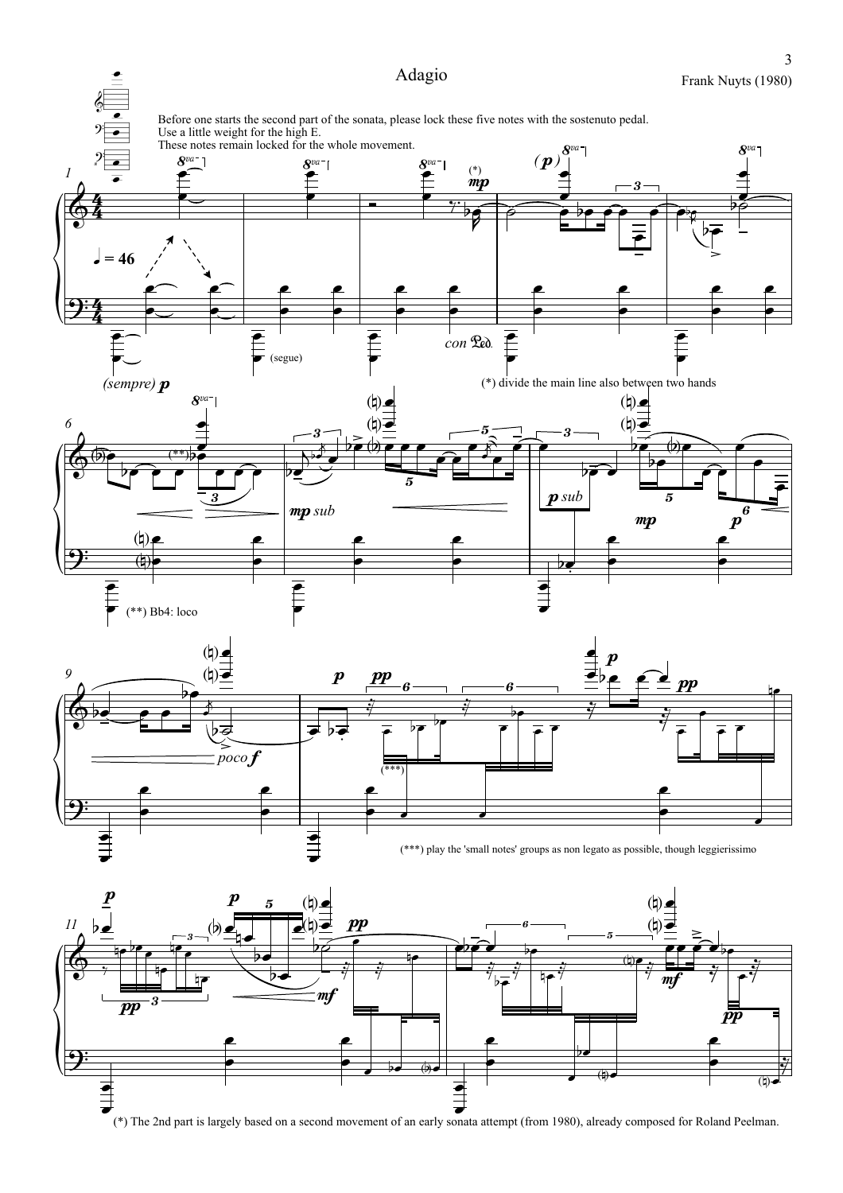

3

 $\bullet$  $\bullet$ 

e

(\*) The 2nd part is largely based on a second movement of an early sonata attempt (from 1980), already composed for Roland Peelman.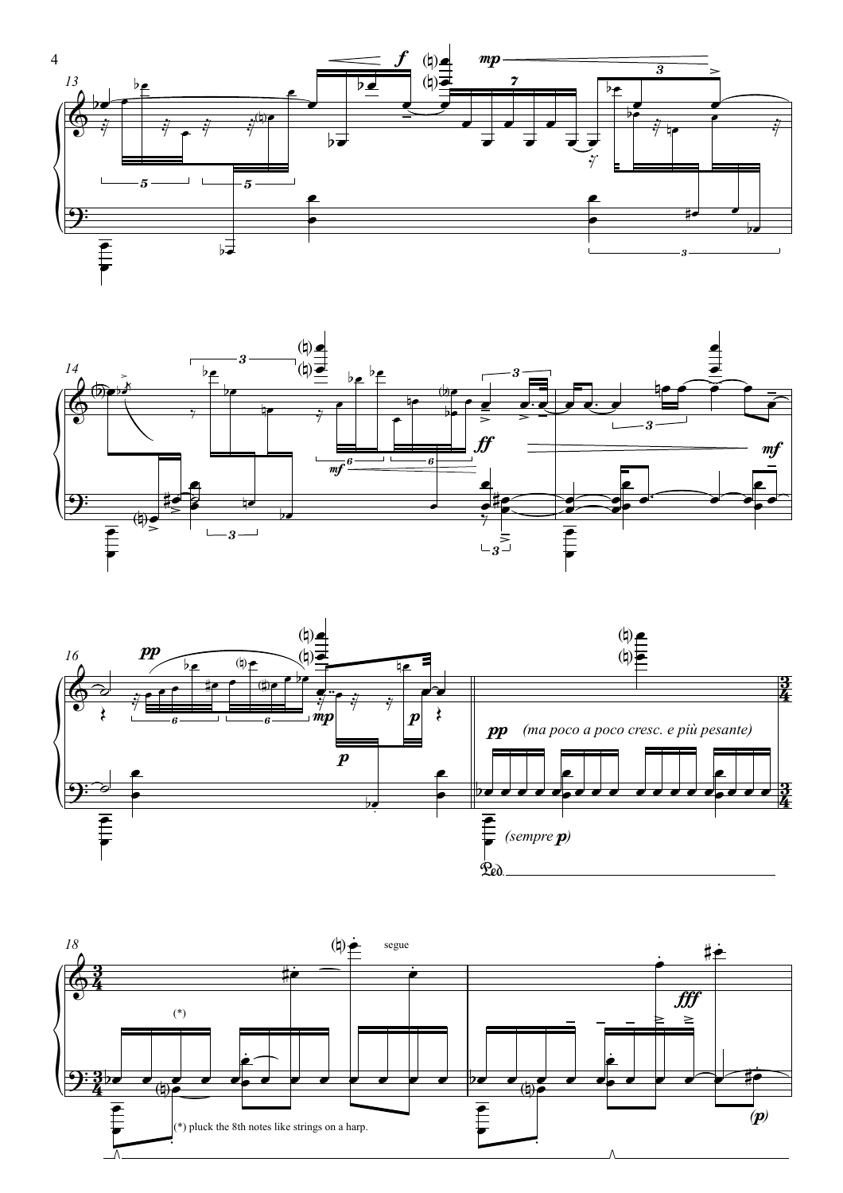